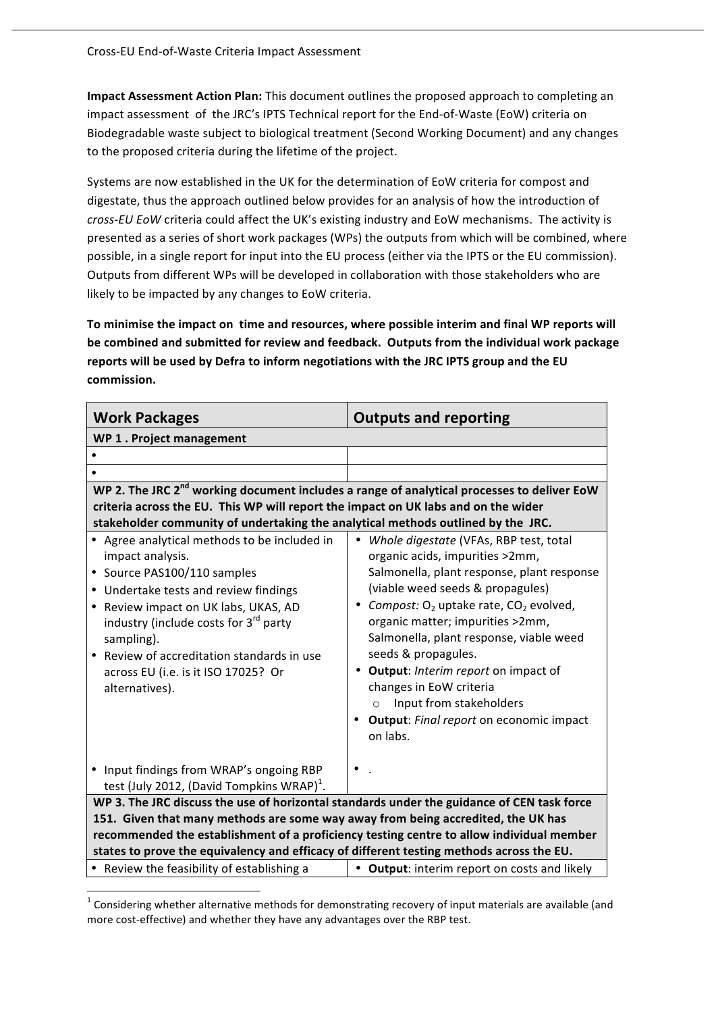Impact Assessment Action Plan: This document outlines the proposed approach to completing an impact assessment of the JRC's IPTS Technical report for the End-of-Waste (EoW) criteria on Biodegradable
waste
subject
to
biological
treatment
(Second
Working
Document) and
any
changes to
the
proposed
criteria
during
the
lifetime
of
the
project.

Systems are now established in the UK for the determination of EoW criteria for compost and digestate, thus the approach outlined below provides for an analysis of how the introduction of cross-EU EoW criteria could affect the UK's existing industry and EoW mechanisms. The activity is presented as a series of short work packages (WPs) the outputs from which will be combined, where possible, in a single report for input into the EU process (either via the IPTS or the EU commission). Outputs
from
different
WPs
will
be
developed
in
collaboration
with
those stakeholders
who
are likely
to
be
impacted
by
any
changes
to
EoW
criteria.

To minimise the impact on time and resources, where possible interim and final WP reports will **be
combined
and
submitted for
review
and
feedback. Outputs
from
the
individual
work
package**  reports will be used by Defra to inform negotiations with the JRC IPTS group and the EU **commission.** 

| <b>Work Packages</b>                                                                                                                                                                                                                                                                                                                                       | <b>Outputs and reporting</b>                                                                                                                                                                                                                                                                                                                                                                                                                                                                            |  |
|------------------------------------------------------------------------------------------------------------------------------------------------------------------------------------------------------------------------------------------------------------------------------------------------------------------------------------------------------------|---------------------------------------------------------------------------------------------------------------------------------------------------------------------------------------------------------------------------------------------------------------------------------------------------------------------------------------------------------------------------------------------------------------------------------------------------------------------------------------------------------|--|
| WP 1. Project management                                                                                                                                                                                                                                                                                                                                   |                                                                                                                                                                                                                                                                                                                                                                                                                                                                                                         |  |
|                                                                                                                                                                                                                                                                                                                                                            |                                                                                                                                                                                                                                                                                                                                                                                                                                                                                                         |  |
|                                                                                                                                                                                                                                                                                                                                                            |                                                                                                                                                                                                                                                                                                                                                                                                                                                                                                         |  |
| WP 2. The JRC 2 <sup>nd</sup> working document includes a range of analytical processes to deliver EoW                                                                                                                                                                                                                                                     |                                                                                                                                                                                                                                                                                                                                                                                                                                                                                                         |  |
| criteria across the EU. This WP will report the impact on UK labs and on the wider                                                                                                                                                                                                                                                                         |                                                                                                                                                                                                                                                                                                                                                                                                                                                                                                         |  |
| stakeholder community of undertaking the analytical methods outlined by the JRC.                                                                                                                                                                                                                                                                           |                                                                                                                                                                                                                                                                                                                                                                                                                                                                                                         |  |
| • Agree analytical methods to be included in<br>impact analysis.<br>• Source PAS100/110 samples<br>• Undertake tests and review findings<br>• Review impact on UK labs, UKAS, AD<br>industry (include costs for 3 <sup>rd</sup> party<br>sampling).<br>• Review of accreditation standards in use<br>across EU (i.e. is it ISO 17025? Or<br>alternatives). | Whole digestate (VFAs, RBP test, total<br>$\bullet$<br>organic acids, impurities >2mm,<br>Salmonella, plant response, plant response<br>(viable weed seeds & propagules)<br>• Compost: $O_2$ uptake rate, $CO_2$ evolved,<br>organic matter; impurities >2mm,<br>Salmonella, plant response, viable weed<br>seeds & propagules.<br>• Output: Interim report on impact of<br>changes in EoW criteria<br>Input from stakeholders<br>$\circ$<br><b>Output:</b> Final report on economic impact<br>on labs. |  |
| • Input findings from WRAP's ongoing RBP<br>test (July 2012, (David Tompkins WRAP) $^1$ .                                                                                                                                                                                                                                                                  |                                                                                                                                                                                                                                                                                                                                                                                                                                                                                                         |  |
| WP 3. The JRC discuss the use of horizontal standards under the guidance of CEN task force                                                                                                                                                                                                                                                                 |                                                                                                                                                                                                                                                                                                                                                                                                                                                                                                         |  |
| 151. Given that many methods are some way away from being accredited, the UK has                                                                                                                                                                                                                                                                           |                                                                                                                                                                                                                                                                                                                                                                                                                                                                                                         |  |
| recommended the establishment of a proficiency testing centre to allow individual member                                                                                                                                                                                                                                                                   |                                                                                                                                                                                                                                                                                                                                                                                                                                                                                                         |  |
| states to prove the equivalency and efficacy of different testing methods across the EU.                                                                                                                                                                                                                                                                   |                                                                                                                                                                                                                                                                                                                                                                                                                                                                                                         |  |
| • Review the feasibility of establishing a                                                                                                                                                                                                                                                                                                                 | • Output: interim report on costs and likely                                                                                                                                                                                                                                                                                                                                                                                                                                                            |  |

<sup>&</sup>lt;sup>1</sup> Considering whether alternative methods for demonstrating recovery of input materials are available (and more cost-effective) and whether they have any advantages over the RBP test.

<u> 1989 - Jan Samuel Barbara, margaret e</u>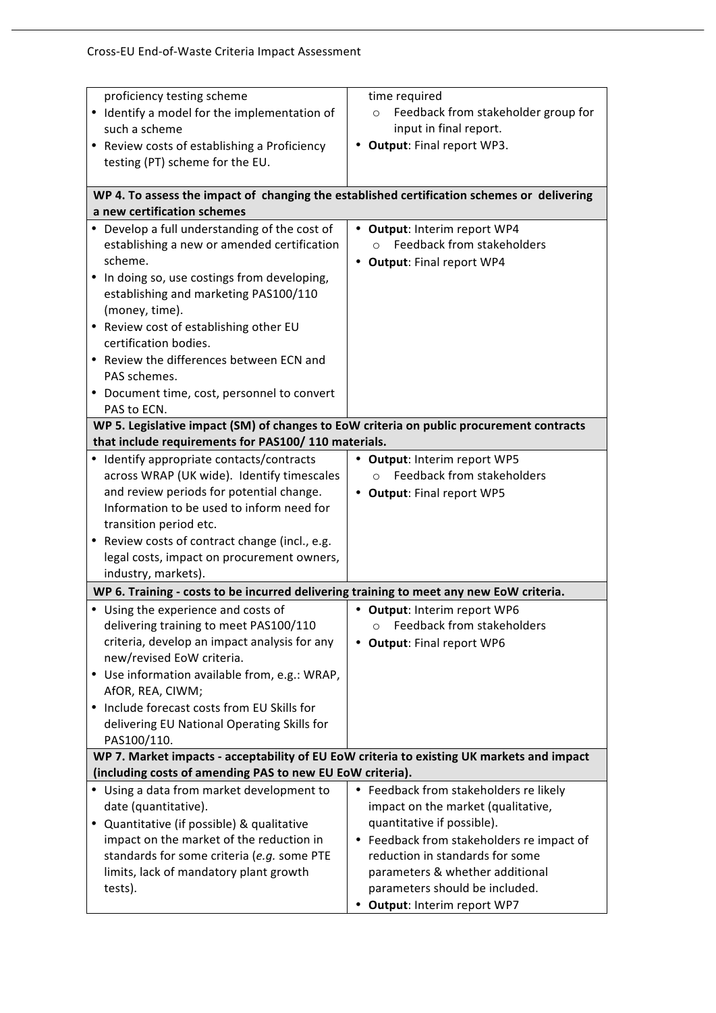| proficiency testing scheme                                                                 | time required                                  |
|--------------------------------------------------------------------------------------------|------------------------------------------------|
| • Identify a model for the implementation of                                               | Feedback from stakeholder group for<br>$\circ$ |
| such a scheme                                                                              | input in final report.                         |
| • Review costs of establishing a Proficiency                                               | Output: Final report WP3.                      |
| testing (PT) scheme for the EU.                                                            |                                                |
|                                                                                            |                                                |
| WP 4. To assess the impact of changing the established certification schemes or delivering |                                                |
| a new certification schemes                                                                |                                                |
| • Develop a full understanding of the cost of                                              | • Output: Interim report WP4                   |
| establishing a new or amended certification                                                | Feedback from stakeholders<br>$\circ$          |
| scheme.                                                                                    | • Output: Final report WP4                     |
| In doing so, use costings from developing,                                                 |                                                |
| establishing and marketing PAS100/110                                                      |                                                |
| (money, time).                                                                             |                                                |
| • Review cost of establishing other EU                                                     |                                                |
| certification bodies.                                                                      |                                                |
| • Review the differences between ECN and                                                   |                                                |
| PAS schemes.                                                                               |                                                |
| Document time, cost, personnel to convert                                                  |                                                |
| PAS to ECN.                                                                                |                                                |
| WP 5. Legislative impact (SM) of changes to EoW criteria on public procurement contracts   |                                                |
| that include requirements for PAS100/110 materials.                                        |                                                |
| Identify appropriate contacts/contracts                                                    | Output: Interim report WP5                     |
| across WRAP (UK wide). Identify timescales                                                 | <b>Feedback from stakeholders</b><br>$\circ$   |
| and review periods for potential change.                                                   | • Output: Final report WP5                     |
| Information to be used to inform need for                                                  |                                                |
| transition period etc.                                                                     |                                                |
| Review costs of contract change (incl., e.g.<br>$\bullet$                                  |                                                |
| legal costs, impact on procurement owners,                                                 |                                                |
| industry, markets).                                                                        |                                                |
| WP 6. Training - costs to be incurred delivering training to meet any new EoW criteria.    |                                                |
| • Using the experience and costs of                                                        | • Output: Interim report WP6                   |
| delivering training to meet PAS100/110                                                     | Feedback from stakeholders<br>$\circ$          |
| criteria, develop an impact analysis for any                                               | <b>Output: Final report WP6</b>                |
| new/revised EoW criteria.                                                                  |                                                |
| • Use information available from, e.g.: WRAP,                                              |                                                |
| AfOR, REA, CIWM;<br>Include forecast costs from EU Skills for                              |                                                |
| delivering EU National Operating Skills for                                                |                                                |
| PAS100/110.                                                                                |                                                |
| WP 7. Market impacts - acceptability of EU EoW criteria to existing UK markets and impact  |                                                |
| (including costs of amending PAS to new EU EoW criteria).                                  |                                                |
| • Using a data from market development to                                                  | • Feedback from stakeholders re likely         |
| date (quantitative).                                                                       | impact on the market (qualitative,             |
| Quantitative (if possible) & qualitative<br>٠                                              | quantitative if possible).                     |
| impact on the market of the reduction in                                                   | • Feedback from stakeholders re impact of      |
| standards for some criteria (e.g. some PTE                                                 | reduction in standards for some                |
| limits, lack of mandatory plant growth                                                     | parameters & whether additional                |
| tests).                                                                                    | parameters should be included.                 |
|                                                                                            | • Output: Interim report WP7                   |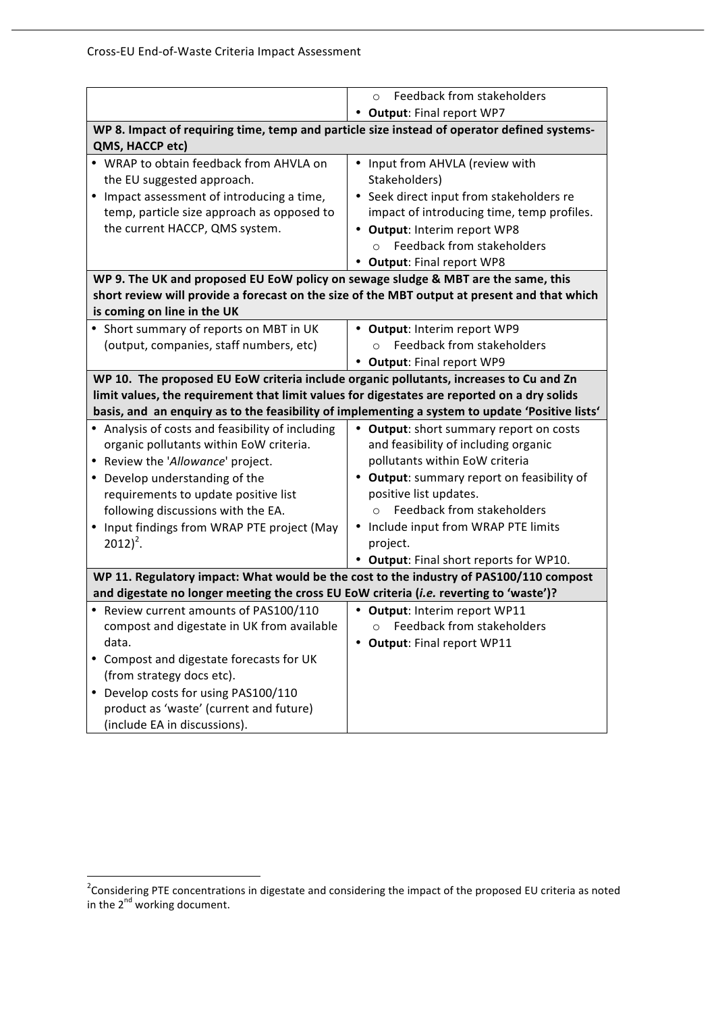|                                                                                                                                                                                                                                                                                                                                      | Feedback from stakeholders<br>$\Omega$                                                                                                                                                                                                                                                                               |  |
|--------------------------------------------------------------------------------------------------------------------------------------------------------------------------------------------------------------------------------------------------------------------------------------------------------------------------------------|----------------------------------------------------------------------------------------------------------------------------------------------------------------------------------------------------------------------------------------------------------------------------------------------------------------------|--|
|                                                                                                                                                                                                                                                                                                                                      | • Output: Final report WP7                                                                                                                                                                                                                                                                                           |  |
| WP 8. Impact of requiring time, temp and particle size instead of operator defined systems-                                                                                                                                                                                                                                          |                                                                                                                                                                                                                                                                                                                      |  |
| QMS, HACCP etc)                                                                                                                                                                                                                                                                                                                      |                                                                                                                                                                                                                                                                                                                      |  |
| • WRAP to obtain feedback from AHVLA on<br>the EU suggested approach.<br>• Impact assessment of introducing a time,<br>temp, particle size approach as opposed to<br>the current HACCP, QMS system.                                                                                                                                  | • Input from AHVLA (review with<br>Stakeholders)<br>• Seek direct input from stakeholders re<br>impact of introducing time, temp profiles.<br>• Output: Interim report WP8<br>Feedback from stakeholders<br>$\Omega$                                                                                                 |  |
|                                                                                                                                                                                                                                                                                                                                      | <b>Output: Final report WP8</b><br>$\bullet$                                                                                                                                                                                                                                                                         |  |
| WP 9. The UK and proposed EU EoW policy on sewage sludge & MBT are the same, this                                                                                                                                                                                                                                                    |                                                                                                                                                                                                                                                                                                                      |  |
| is coming on line in the UK                                                                                                                                                                                                                                                                                                          | short review will provide a forecast on the size of the MBT output at present and that which                                                                                                                                                                                                                         |  |
| • Short summary of reports on MBT in UK<br>(output, companies, staff numbers, etc)                                                                                                                                                                                                                                                   | • Output: Interim report WP9<br><b>Feedback from stakeholders</b><br>$\Omega$<br>• Output: Final report WP9                                                                                                                                                                                                          |  |
| WP 10. The proposed EU EoW criteria include organic pollutants, increases to Cu and Zn                                                                                                                                                                                                                                               |                                                                                                                                                                                                                                                                                                                      |  |
| limit values, the requirement that limit values for digestates are reported on a dry solids                                                                                                                                                                                                                                          |                                                                                                                                                                                                                                                                                                                      |  |
| basis, and an enquiry as to the feasibility of implementing a system to update 'Positive lists'                                                                                                                                                                                                                                      |                                                                                                                                                                                                                                                                                                                      |  |
| • Analysis of costs and feasibility of including<br>organic pollutants within EoW criteria.<br>• Review the 'Allowance' project.<br>Develop understanding of the<br>$\bullet$<br>requirements to update positive list<br>following discussions with the EA.<br>Input findings from WRAP PTE project (May<br>$\bullet$<br>$2012)^2$ . | • Output: short summary report on costs<br>and feasibility of including organic<br>pollutants within EoW criteria<br>• Output: summary report on feasibility of<br>positive list updates.<br>Feedback from stakeholders<br>Include input from WRAP PTE limits<br>project.<br>• Output: Final short reports for WP10. |  |
| WP 11. Regulatory impact: What would be the cost to the industry of PAS100/110 compost                                                                                                                                                                                                                                               |                                                                                                                                                                                                                                                                                                                      |  |
| and digestate no longer meeting the cross EU EoW criteria (i.e. reverting to 'waste')?                                                                                                                                                                                                                                               |                                                                                                                                                                                                                                                                                                                      |  |
| • Review current amounts of PAS100/110<br>compost and digestate in UK from available<br>data.<br>Compost and digestate forecasts for UK<br>(from strategy docs etc).<br>Develop costs for using PAS100/110<br>product as 'waste' (current and future)                                                                                | • Output: Interim report WP11<br>Feedback from stakeholders<br>$\circ$<br><b>Output: Final report WP11</b>                                                                                                                                                                                                           |  |
| (include EA in discussions).                                                                                                                                                                                                                                                                                                         |                                                                                                                                                                                                                                                                                                                      |  |

<sup>&</sup>lt;u>a</u><br><sup>2</sup> Considering PTE concentrations in digestate and considering the impact of the proposed EU criteria as noted in the 2<sup>nd</sup> working document.